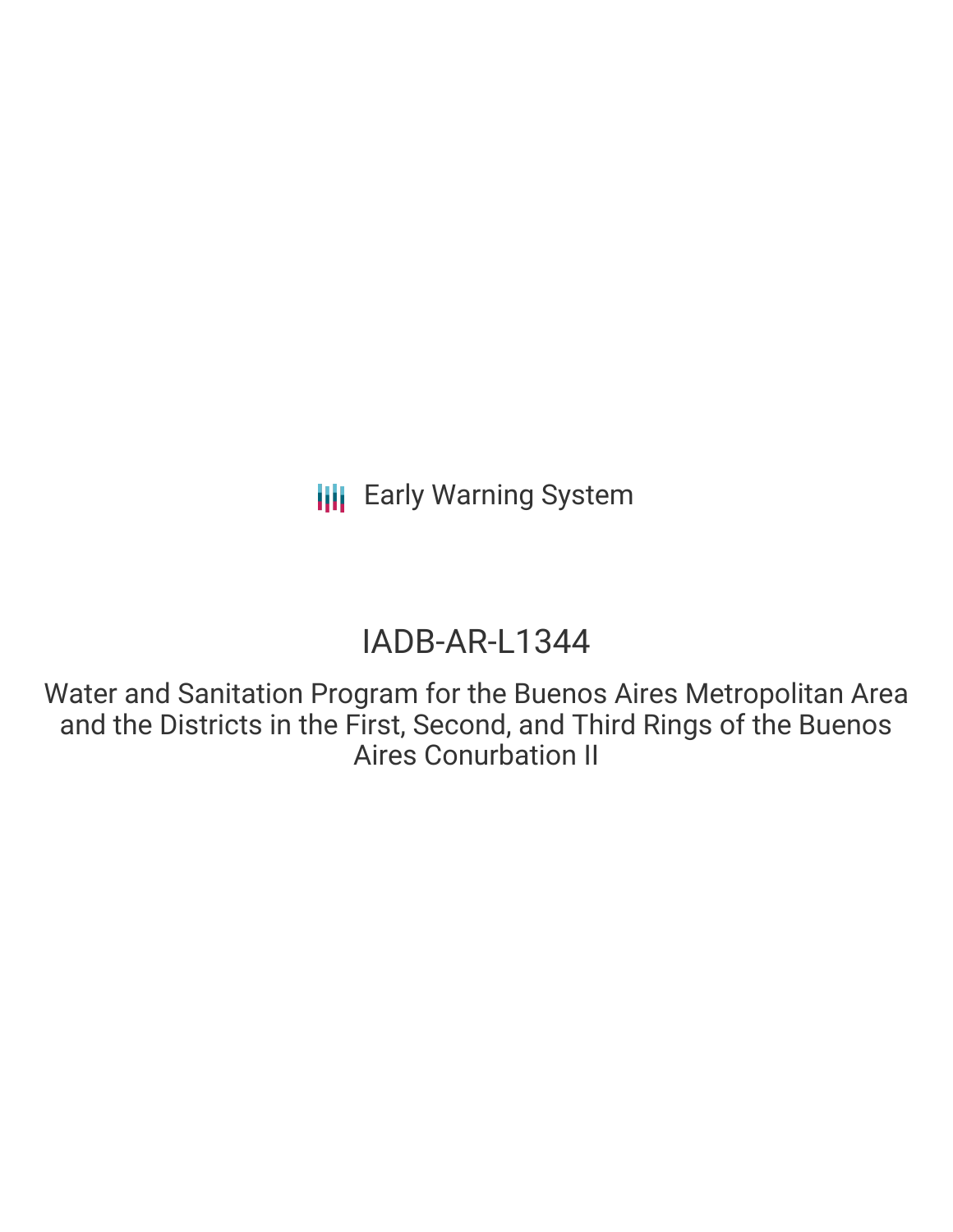# IADB-AR-L1344

Water and Sanitation Program for the Buenos Aires Metropolitan Area and the Districts in the First, Second, and Third Rings of the Buenos Aires Conurbation II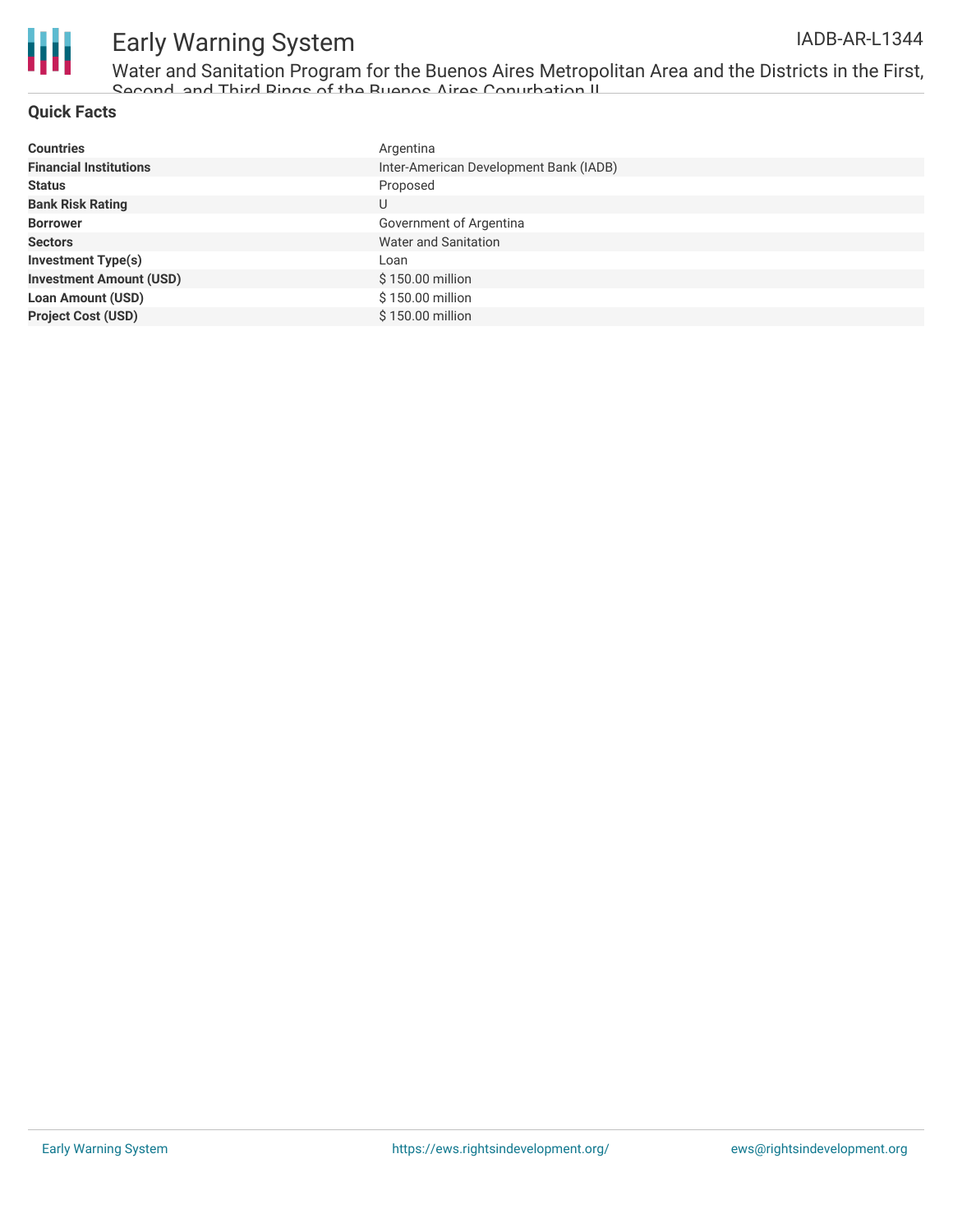

Water and Sanitation Program for the Buenos Aires Metropolitan Area and the Districts in the First, Second, and Third Rings of the Buenos Aires Conurbation II

#### **Quick Facts**

| <b>Countries</b>               | Argentina                              |
|--------------------------------|----------------------------------------|
| <b>Financial Institutions</b>  | Inter-American Development Bank (IADB) |
| <b>Status</b>                  | Proposed                               |
| <b>Bank Risk Rating</b>        | U                                      |
| <b>Borrower</b>                | Government of Argentina                |
| <b>Sectors</b>                 | Water and Sanitation                   |
| <b>Investment Type(s)</b>      | Loan                                   |
| <b>Investment Amount (USD)</b> | \$150.00 million                       |
| <b>Loan Amount (USD)</b>       | \$150.00 million                       |
| <b>Project Cost (USD)</b>      | \$150.00 million                       |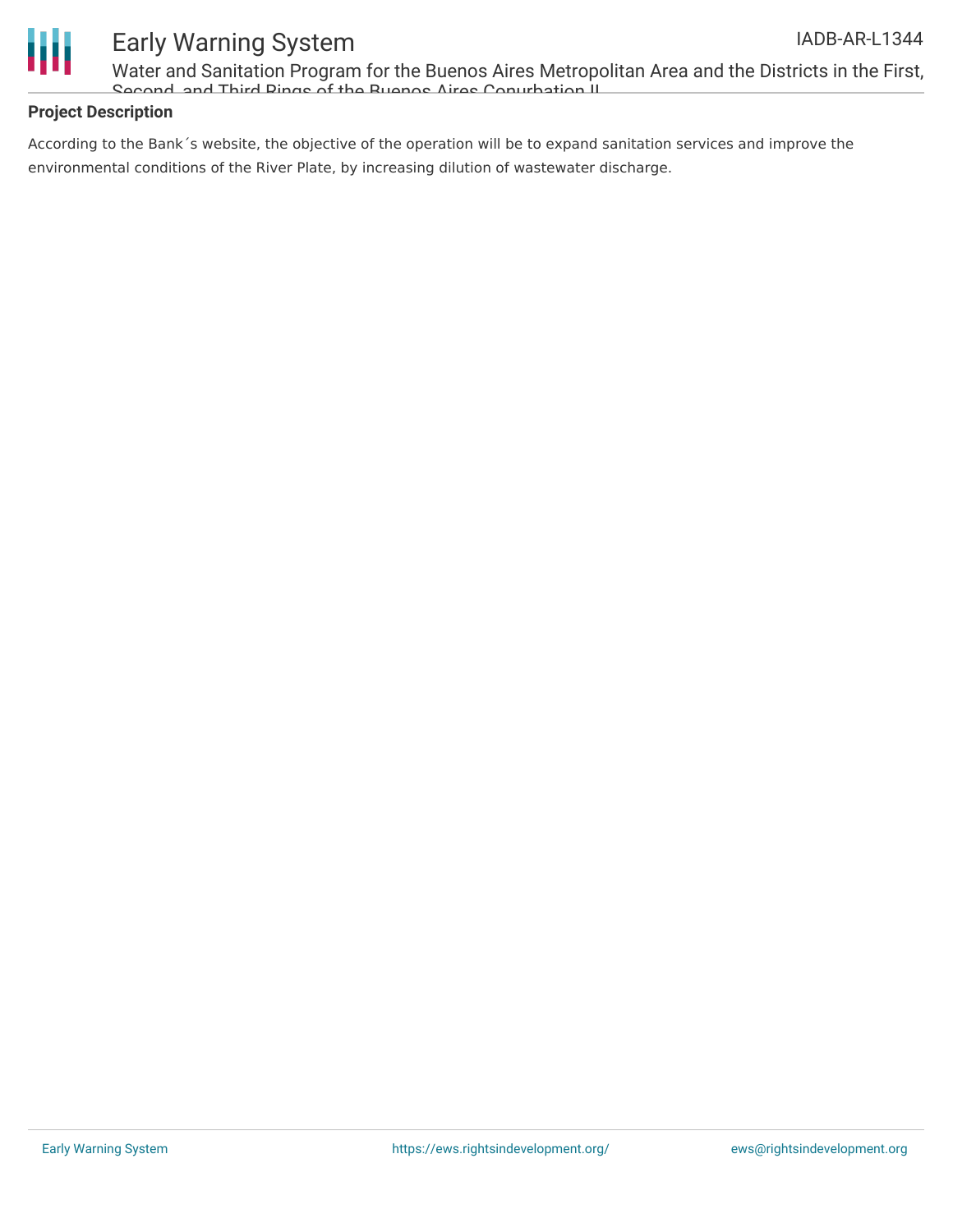

Water and Sanitation Program for the Buenos Aires Metropolitan Area and the Districts in the First, Second, and Third Rings of the Buenos Aires Conurbation II

### **Project Description**

According to the Bank´s website, the objective of the operation will be to expand sanitation services and improve the environmental conditions of the River Plate, by increasing dilution of wastewater discharge.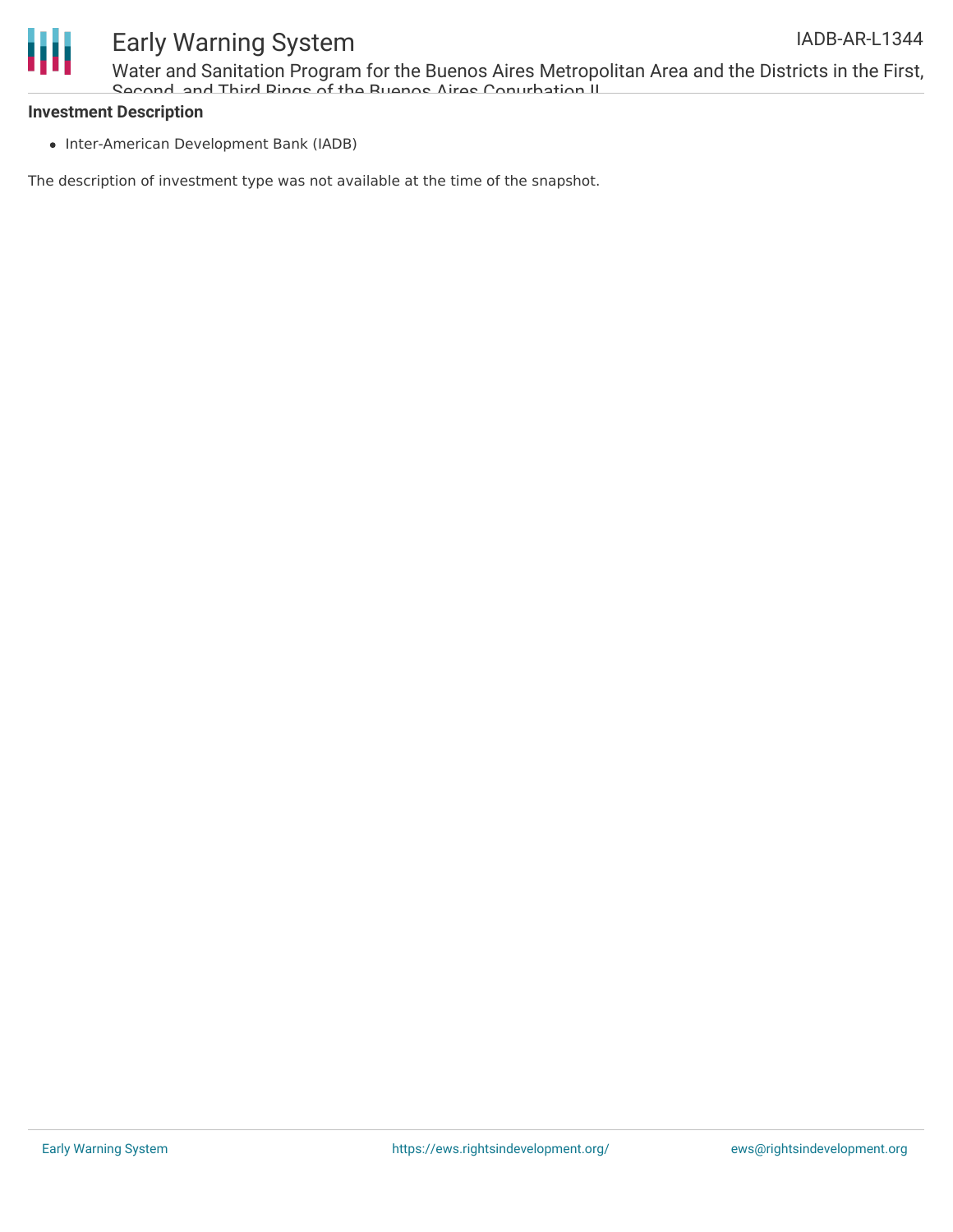

Water and Sanitation Program for the Buenos Aires Metropolitan Area and the Districts in the First, Second, and Third Rings of the Buenos Aires Conurbation II

#### **Investment Description**

• Inter-American Development Bank (IADB)

The description of investment type was not available at the time of the snapshot.